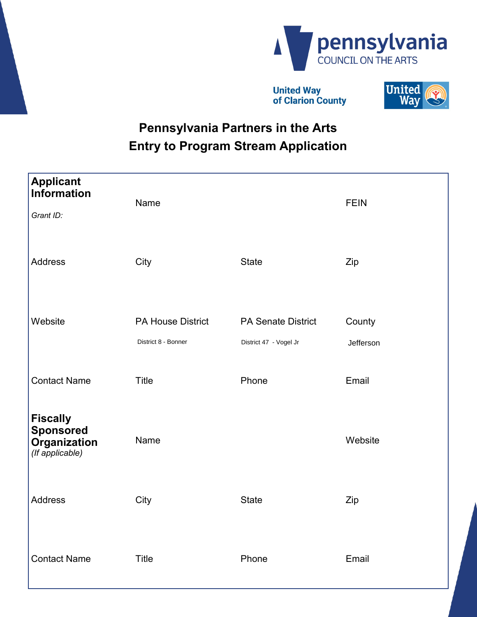

**United Way** of Clarion County



# **Pennsylvania Partners in the Arts Entry to Program Stream Application**

| <b>Applicant</b><br><b>Information</b><br>Grant ID:                    | Name                                            |                                                     | <b>FEIN</b>         |
|------------------------------------------------------------------------|-------------------------------------------------|-----------------------------------------------------|---------------------|
| <b>Address</b>                                                         | City                                            | <b>State</b>                                        | Zip                 |
| Website                                                                | <b>PA House District</b><br>District 8 - Bonner | <b>PA Senate District</b><br>District 47 - Vogel Jr | County<br>Jefferson |
| <b>Contact Name</b>                                                    | <b>Title</b>                                    | Phone                                               | Email               |
| <b>Fiscally</b><br><b>Sponsored</b><br>Organization<br>(If applicable) | Name                                            |                                                     | Website             |
| <b>Address</b>                                                         | City                                            | <b>State</b>                                        | Zip                 |
| <b>Contact Name</b>                                                    | <b>Title</b>                                    | Phone                                               | Email               |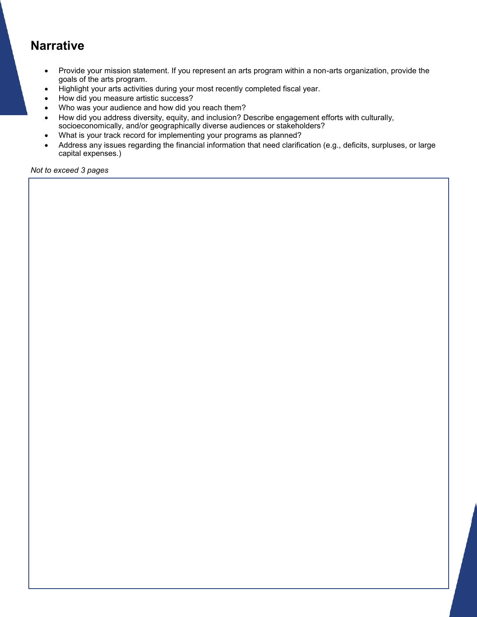#### **Narrative**

- Provide your mission statement. If you represent an arts program within a non-arts organization, provide the goals of the arts program.
- Highlight your arts activities during your most recently completed fiscal year.
- How did you measure artistic success?
- Who was your audience and how did you reach them?
- How did you address diversity, equity, and inclusion? Describe engagement efforts with culturally, socioeconomically, and/or geographically diverse audiences or stakeholders?
- What is your track record for implementing your programs as planned?
- Address any issues regarding the financial information that need clarification (e.g., deficits, surpluses, or large capital expenses.)

*Not to exceed 3 pages*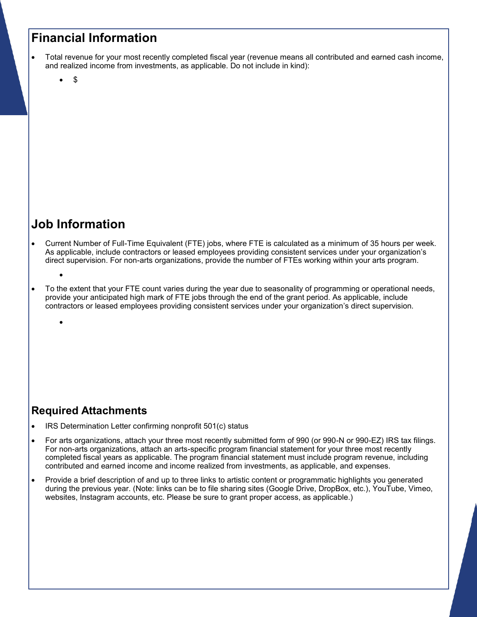### **Financial Information**

- Total revenue for your most recently completed fiscal year (revenue means all contributed and earned cash income, and realized income from investments, as applicable. Do not include in kind):
	- \$

## **Job Information**

- Current Number of Full-Time Equivalent (FTE) jobs, where FTE is calculated as a minimum of 35 hours per week. As applicable, include contractors or leased employees providing consistent services under your organization's direct supervision. For non-arts organizations, provide the number of FTEs working within your arts program.
	- $\bullet$

 $\bullet$ 

 To the extent that your FTE count varies during the year due to seasonality of programming or operational needs, provide your anticipated high mark of FTE jobs through the end of the grant period. As applicable, include contractors or leased employees providing consistent services under your organization's direct supervision.

#### **Required Attachments**

- IRS Determination Letter confirming nonprofit 501(c) status
- For arts organizations, attach your three most recently submitted form of 990 (or 990-N or 990-EZ) IRS tax filings. For non-arts organizations, attach an arts-specific program financial statement for your three most recently completed fiscal years as applicable. The program financial statement must include program revenue, including contributed and earned income and income realized from investments, as applicable, and expenses.
- Provide a brief description of and up to three links to artistic content or programmatic highlights you generated during the previous year. (Note: links can be to file sharing sites (Google Drive, DropBox, etc.), YouTube, Vimeo, websites, Instagram accounts, etc. Please be sure to grant proper access, as applicable.)